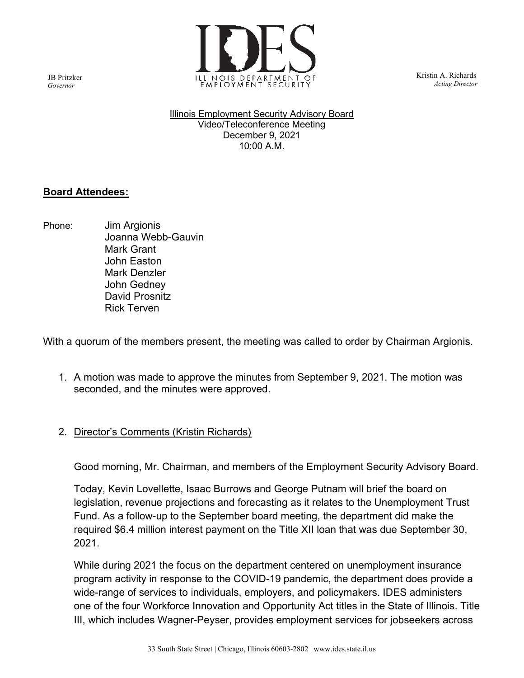

 Kristin A. Richards Acting Director

Illinois Employment Security Advisory Board Video/Teleconference Meeting December 9, 2021 10:00 A.M.

### Board Attendees:

Phone: Jim Argionis Joanna Webb-Gauvin Mark Grant John Easton Mark Denzler John Gedney David Prosnitz Rick Terven

With a quorum of the members present, the meeting was called to order by Chairman Argionis.

- 1. A motion was made to approve the minutes from September 9, 2021. The motion was seconded, and the minutes were approved.
- 2. Director's Comments (Kristin Richards)

Good morning, Mr. Chairman, and members of the Employment Security Advisory Board.

Today, Kevin Lovellette, Isaac Burrows and George Putnam will brief the board on legislation, revenue projections and forecasting as it relates to the Unemployment Trust Fund. As a follow-up to the September board meeting, the department did make the required \$6.4 million interest payment on the Title XII loan that was due September 30, 2021.

While during 2021 the focus on the department centered on unemployment insurance program activity in response to the COVID-19 pandemic, the department does provide a wide-range of services to individuals, employers, and policymakers. IDES administers one of the four Workforce Innovation and Opportunity Act titles in the State of Illinois. Title III, which includes Wagner-Peyser, provides employment services for jobseekers across

JB Pritzker Governor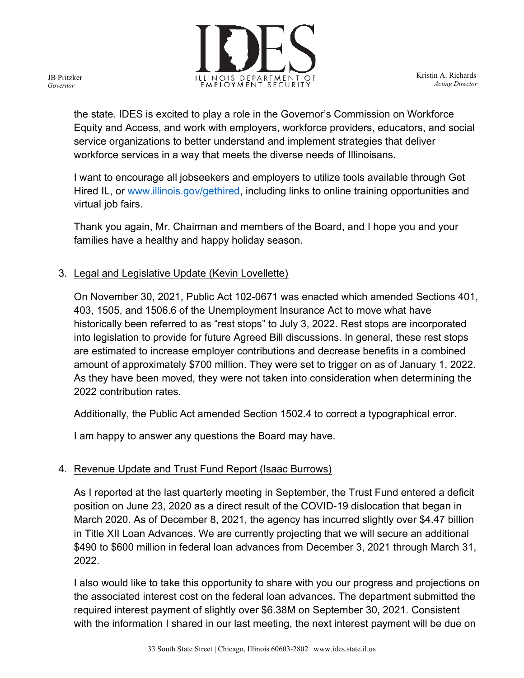

 Kristin A. Richards Acting Director

the state. IDES is excited to play a role in the Governor's Commission on Workforce Equity and Access, and work with employers, workforce providers, educators, and social service organizations to better understand and implement strategies that deliver workforce services in a way that meets the diverse needs of Illinoisans.

I want to encourage all jobseekers and employers to utilize tools available through Get Hired IL, or www.illinois.gov/gethired, including links to online training opportunities and virtual job fairs.

Thank you again, Mr. Chairman and members of the Board, and I hope you and your families have a healthy and happy holiday season.

# 3. Legal and Legislative Update (Kevin Lovellette)

On November 30, 2021, Public Act 102-0671 was enacted which amended Sections 401, 403, 1505, and 1506.6 of the Unemployment Insurance Act to move what have historically been referred to as "rest stops" to July 3, 2022. Rest stops are incorporated into legislation to provide for future Agreed Bill discussions. In general, these rest stops are estimated to increase employer contributions and decrease benefits in a combined amount of approximately \$700 million. They were set to trigger on as of January 1, 2022. As they have been moved, they were not taken into consideration when determining the 2022 contribution rates.

Additionally, the Public Act amended Section 1502.4 to correct a typographical error.

I am happy to answer any questions the Board may have.

# 4. Revenue Update and Trust Fund Report (Isaac Burrows)

As I reported at the last quarterly meeting in September, the Trust Fund entered a deficit position on June 23, 2020 as a direct result of the COVID-19 dislocation that began in March 2020. As of December 8, 2021, the agency has incurred slightly over \$4.47 billion in Title XII Loan Advances. We are currently projecting that we will secure an additional \$490 to \$600 million in federal loan advances from December 3, 2021 through March 31, 2022.

I also would like to take this opportunity to share with you our progress and projections on the associated interest cost on the federal loan advances. The department submitted the required interest payment of slightly over \$6.38M on September 30, 2021. Consistent with the information I shared in our last meeting, the next interest payment will be due on